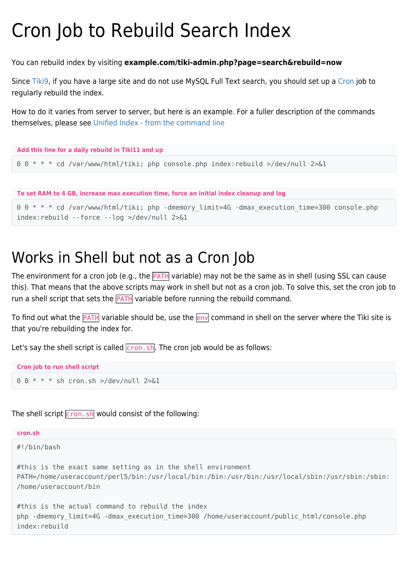## Cron Job to Rebuild Search Index

You can rebuild index by visiting **example.com/tiki-admin.php?page=search&rebuild=now**

Since [Tiki9,](https://doc.tiki.org/Tiki9) if you have a large site and do not use MySQL Full Text search, you should set up a [Cron](https://doc.tiki.org/Cron) job to regularly rebuild the index.

How to do it varies from server to server, but here is an example. For a fuller description of the commands themselves, please see [Unified Index - from the command line](https://doc.tiki.org/Search-and-List-from-Unified-Index#From_the_command_line)



index:rebuild --force --log >/dev/null 2>&1

## Works in Shell but not as a Cron Job

The environment for a cron job (e.g., the **PATH** variable) may not be the same as in shell (using SSL can cause this). That means that the above scripts may work in shell but not as a cron job. To solve this, set the cron job to run a shell script that sets the **PATH** variable before running the rebuild command.

To find out what the **PATH** variable should be, use the env command in shell on the server where the Tiki site is that you're rebuilding the index for.

Let's say the shell script is called  $\boxed{\text{cron.sh}}$ . The cron job would be as follows:

```
Cron job to run shell script
```
 $0 \t 0 * * * *$  sh cron.sh >/dev/null 2>&1

The shell script  $\boxed{\text{cron.sh}}$  would consist of the following:

| cron.sh                                                                                                                                                                                |
|----------------------------------------------------------------------------------------------------------------------------------------------------------------------------------------|
| #!/bin/bash                                                                                                                                                                            |
| #this is the exact same setting as in the shell environment<br>PATH=/home/useraccount/perl5/bin:/usr/local/bin:/bin:/usr/bin:/usr/local/sbin:/usr/sbin:/sbin:<br>/home/useraccount/bin |
| #this is the actual command to rebuild the index<br>php -dmemory limit=4G -dmax execution time=300 /home/useraccount/public html/console.php<br>index:rebuild                          |